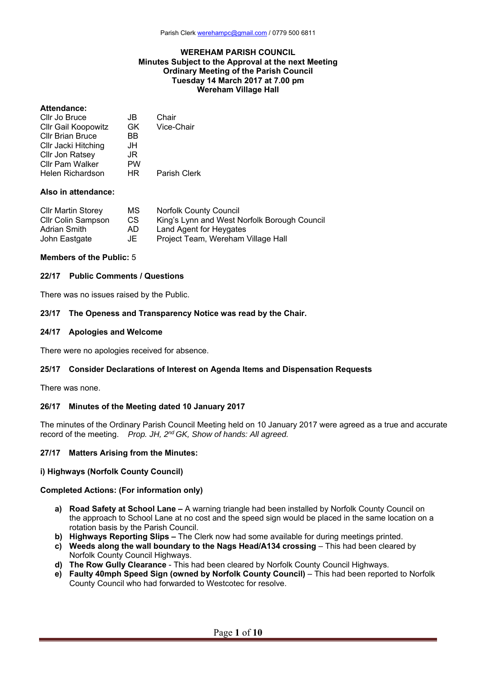### **WEREHAM PARISH COUNCIL Minutes Subject to the Approval at the next Meeting Ordinary Meeting of the Parish Council Tuesday 14 March 2017 at 7.00 pm Wereham Village Hall**

## **Attendance:**

| Cllr Jo Bruce              | JB.       | Chair        |
|----------------------------|-----------|--------------|
| <b>CIIr Gail Koopowitz</b> | GK.       | Vice-Chair   |
| <b>Cllr Brian Bruce</b>    | ВB        |              |
| Cllr Jacki Hitching        | JH        |              |
| Cllr Jon Ratsey            | JR        |              |
| <b>Cllr Pam Walker</b>     | <b>PW</b> |              |
| Helen Richardson           | HR.       | Parish Clerk |
|                            |           |              |

## **Also in attendance:**

| <b>CIIr Martin Storey</b> | MS. | <b>Norfolk County Council</b>                |
|---------------------------|-----|----------------------------------------------|
| <b>CIIr Colin Sampson</b> | CS. | King's Lynn and West Norfolk Borough Council |
| Adrian Smith              | AD. | Land Agent for Heygates                      |
| John Eastgate             | JE  | Project Team, Wereham Village Hall           |

### **Members of the Public:** 5

### **22/17 Public Comments / Questions**

There was no issues raised by the Public.

#### **23/17 The Openess and Transparency Notice was read by the Chair.**

#### **24/17 Apologies and Welcome**

There were no apologies received for absence.

## **25/17 Consider Declarations of Interest on Agenda Items and Dispensation Requests**

There was none.

### **26/17 Minutes of the Meeting dated 10 January 2017**

The minutes of the Ordinary Parish Council Meeting held on 10 January 2017 were agreed as a true and accurate record of the meeting. *Prop. JH, 2nd GK, Show of hands: All agreed.*

### **27/17 Matters Arising from the Minutes:**

### **i) Highways (Norfolk County Council)**

### **Completed Actions: (For information only)**

- **a) Road Safety at School Lane** A warning triangle had been installed by Norfolk County Council on the approach to School Lane at no cost and the speed sign would be placed in the same location on a rotation basis by the Parish Council.
- **b) Highways Reporting Slips** The Clerk now had some available for during meetings printed.
- **c) Weeds along the wall boundary to the Nags Head/A134 crossing** This had been cleared by Norfolk County Council Highways.
- **d) The Row Gully Clearance** This had been cleared by Norfolk County Council Highways.
- **e) Faulty 40mph Speed Sign (owned by Norfolk County Council)** This had been reported to Norfolk County Council who had forwarded to Westcotec for resolve.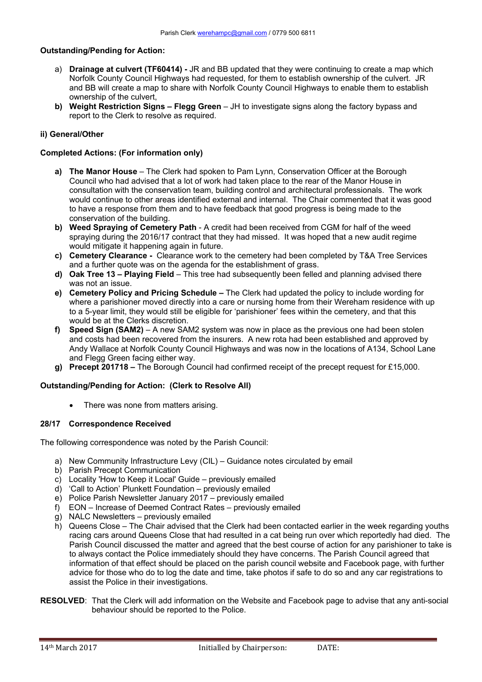# **Outstanding/Pending for Action:**

- a) **Drainage at culvert (TF60414)** JR and BB updated that they were continuing to create a map which Norfolk County Council Highways had requested, for them to establish ownership of the culvert. JR and BB will create a map to share with Norfolk County Council Highways to enable them to establish ownership of the culvert,
- **b) Weight Restriction Signs Flegg Green**  JH to investigate signs along the factory bypass and report to the Clerk to resolve as required.

## **ii) General/Other**

## **Completed Actions: (For information only)**

- **a) The Manor House**  The Clerk had spoken to Pam Lynn, Conservation Officer at the Borough Council who had advised that a lot of work had taken place to the rear of the Manor House in consultation with the conservation team, building control and architectural professionals. The work would continue to other areas identified external and internal. The Chair commented that it was good to have a response from them and to have feedback that good progress is being made to the conservation of the building.
- **b) Weed Spraying of Cemetery Path**  A credit had been received from CGM for half of the weed spraying during the 2016/17 contract that they had missed. It was hoped that a new audit regime would mitigate it happening again in future.
- **c) Cemetery Clearance** Clearance work to the cemetery had been completed by T&A Tree Services and a further quote was on the agenda for the establishment of grass.
- **d) Oak Tree 13 Playing Field** This tree had subsequently been felled and planning advised there was not an issue.
- **e) Cemetery Policy and Pricing Schedule** The Clerk had updated the policy to include wording for where a parishioner moved directly into a care or nursing home from their Wereham residence with up to a 5-year limit, they would still be eligible for 'parishioner' fees within the cemetery, and that this would be at the Clerks discretion.
- **f) Speed Sign (SAM2)** A new SAM2 system was now in place as the previous one had been stolen and costs had been recovered from the insurers. A new rota had been established and approved by Andy Wallace at Norfolk County Council Highways and was now in the locations of A134, School Lane and Flegg Green facing either way.
- **g) Precept 201718** The Borough Council had confirmed receipt of the precept request for £15,000.

### **Outstanding/Pending for Action: (Clerk to Resolve All)**

• There was none from matters arising.

### **28/17 Correspondence Received**

The following correspondence was noted by the Parish Council:

- a) New Community Infrastructure Levy (CIL) Guidance notes circulated by email
- b) Parish Precept Communication
- c) Locality 'How to Keep it Local' Guide previously emailed
- d) 'Call to Action' Plunkett Foundation previously emailed
- e) Police Parish Newsletter January 2017 previously emailed
- f) EON Increase of Deemed Contract Rates previously emailed
- g) NALC Newsletters previously emailed
- h) Queens Close The Chair advised that the Clerk had been contacted earlier in the week regarding youths racing cars around Queens Close that had resulted in a cat being run over which reportedly had died. The Parish Council discussed the matter and agreed that the best course of action for any parishioner to take is to always contact the Police immediately should they have concerns. The Parish Council agreed that information of that effect should be placed on the parish council website and Facebook page, with further advice for those who do to log the date and time, take photos if safe to do so and any car registrations to assist the Police in their investigations.
- **RESOLVED**: That the Clerk will add information on the Website and Facebook page to advise that any anti-social behaviour should be reported to the Police.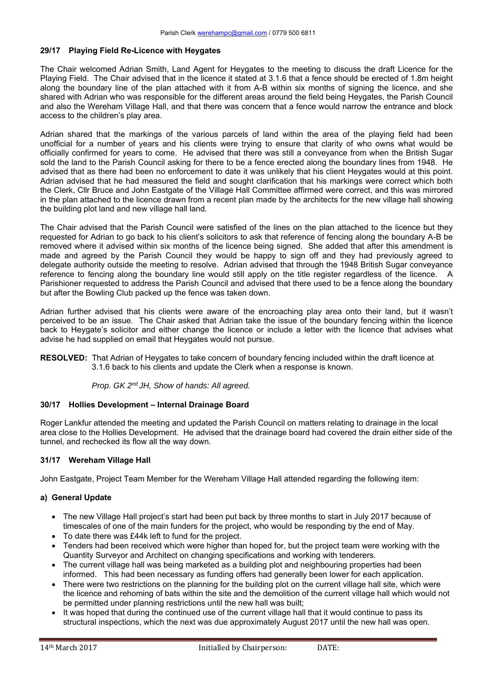## **29/17 Playing Field Re-Licence with Heygates**

The Chair welcomed Adrian Smith, Land Agent for Heygates to the meeting to discuss the draft Licence for the Playing Field. The Chair advised that in the licence it stated at 3.1.6 that a fence should be erected of 1.8m height along the boundary line of the plan attached with it from A-B within six months of signing the licence, and she shared with Adrian who was responsible for the different areas around the field being Heygates, the Parish Council and also the Wereham Village Hall, and that there was concern that a fence would narrow the entrance and block access to the children's play area.

Adrian shared that the markings of the various parcels of land within the area of the playing field had been unofficial for a number of years and his clients were trying to ensure that clarity of who owns what would be officially confirmed for years to come. He advised that there was still a conveyance from when the British Sugar sold the land to the Parish Council asking for there to be a fence erected along the boundary lines from 1948. He advised that as there had been no enforcement to date it was unlikely that his client Heygates would at this point. Adrian advised that he had measured the field and sought clarification that his markings were correct which both the Clerk, Cllr Bruce and John Eastgate of the Village Hall Committee affirmed were correct, and this was mirrored in the plan attached to the licence drawn from a recent plan made by the architects for the new village hall showing the building plot land and new village hall land.

The Chair advised that the Parish Council were satisfied of the lines on the plan attached to the licence but they requested for Adrian to go back to his client's solicitors to ask that reference of fencing along the boundary A-B be removed where it advised within six months of the licence being signed. She added that after this amendment is made and agreed by the Parish Council they would be happy to sign off and they had previously agreed to delegate authority outside the meeting to resolve. Adrian advised that through the 1948 British Sugar conveyance reference to fencing along the boundary line would still apply on the title register regardless of the licence. A Parishioner requested to address the Parish Council and advised that there used to be a fence along the boundary but after the Bowling Club packed up the fence was taken down.

Adrian further advised that his clients were aware of the encroaching play area onto their land, but it wasn't perceived to be an issue. The Chair asked that Adrian take the issue of the boundary fencing within the licence back to Heygate's solicitor and either change the licence or include a letter with the licence that advises what advise he had supplied on email that Heygates would not pursue.

**RESOLVED:** That Adrian of Heygates to take concern of boundary fencing included within the draft licence at 3.1.6 back to his clients and update the Clerk when a response is known.

 *Prop. GK 2nd JH, Show of hands: All agreed.* 

### **30/17 Hollies Development – Internal Drainage Board**

Roger Lankfur attended the meeting and updated the Parish Council on matters relating to drainage in the local area close to the Hollies Development. He advised that the drainage board had covered the drain either side of the tunnel, and rechecked its flow all the way down.

# **31/17 Wereham Village Hall**

John Eastgate, Project Team Member for the Wereham Village Hall attended regarding the following item:

# **a) General Update**

- The new Village Hall project's start had been put back by three months to start in July 2017 because of timescales of one of the main funders for the project, who would be responding by the end of May.
- To date there was £44k left to fund for the project.
- Tenders had been received which were higher than hoped for, but the project team were working with the Quantity Surveyor and Architect on changing specifications and working with tenderers.
- The current village hall was being marketed as a building plot and neighbouring properties had been informed. This had been necessary as funding offers had generally been lower for each application.
- There were two restrictions on the planning for the building plot on the current village hall site, which were the licence and rehoming of bats within the site and the demolition of the current village hall which would not be permitted under planning restrictions until the new hall was built;
- It was hoped that during the continued use of the current village hall that it would continue to pass its structural inspections, which the next was due approximately August 2017 until the new hall was open.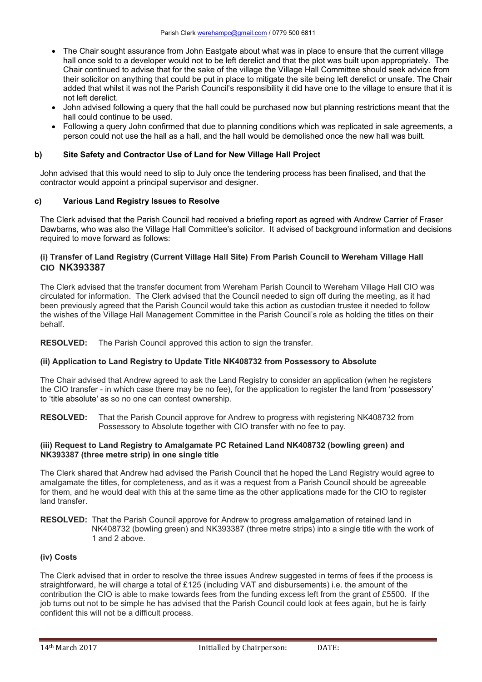- The Chair sought assurance from John Eastgate about what was in place to ensure that the current village hall once sold to a developer would not to be left derelict and that the plot was built upon appropriately. The Chair continued to advise that for the sake of the village the Village Hall Committee should seek advice from their solicitor on anything that could be put in place to mitigate the site being left derelict or unsafe. The Chair added that whilst it was not the Parish Council's responsibility it did have one to the village to ensure that it is not left derelict.
- John advised following a query that the hall could be purchased now but planning restrictions meant that the hall could continue to be used.
- Following a query John confirmed that due to planning conditions which was replicated in sale agreements, a person could not use the hall as a hall, and the hall would be demolished once the new hall was built.

# **b) Site Safety and Contractor Use of Land for New Village Hall Project**

John advised that this would need to slip to July once the tendering process has been finalised, and that the contractor would appoint a principal supervisor and designer.

# **c) Various Land Registry Issues to Resolve**

The Clerk advised that the Parish Council had received a briefing report as agreed with Andrew Carrier of Fraser Dawbarns, who was also the Village Hall Committee's solicitor. It advised of background information and decisions required to move forward as follows:

# **(i) Transfer of Land Registry (Current Village Hall Site) From Parish Council to Wereham Village Hall CIO NK393387**

The Clerk advised that the transfer document from Wereham Parish Council to Wereham Village Hall CIO was circulated for information. The Clerk advised that the Council needed to sign off during the meeting, as it had been previously agreed that the Parish Council would take this action as custodian trustee it needed to follow the wishes of the Village Hall Management Committee in the Parish Council's role as holding the titles on their behalf.

**RESOLVED:** The Parish Council approved this action to sign the transfer.

# **(ii) Application to Land Registry to Update Title NK408732 from Possessory to Absolute**

The Chair advised that Andrew agreed to ask the Land Registry to consider an application (when he registers the CIO transfer - in which case there may be no fee), for the application to register the land from 'possessory' to 'title absolute' as so no one can contest ownership.

**RESOLVED:** That the Parish Council approve for Andrew to progress with registering NK408732 from Possessory to Absolute together with CIO transfer with no fee to pay.

## **(iii) Request to Land Registry to Amalgamate PC Retained Land NK408732 (bowling green) and NK393387 (three metre strip) in one single title**

The Clerk shared that Andrew had advised the Parish Council that he hoped the Land Registry would agree to amalgamate the titles, for completeness, and as it was a request from a Parish Council should be agreeable for them, and he would deal with this at the same time as the other applications made for the CIO to register land transfer.

**RESOLVED:** That the Parish Council approve for Andrew to progress amalgamation of retained land in NK408732 (bowling green) and NK393387 (three metre strips) into a single title with the work of 1 and 2 above.

# **(iv) Costs**

The Clerk advised that in order to resolve the three issues Andrew suggested in terms of fees if the process is straightforward, he will charge a total of £125 (including VAT and disbursements) i.e. the amount of the contribution the CIO is able to make towards fees from the funding excess left from the grant of £5500. If the job turns out not to be simple he has advised that the Parish Council could look at fees again, but he is fairly confident this will not be a difficult process.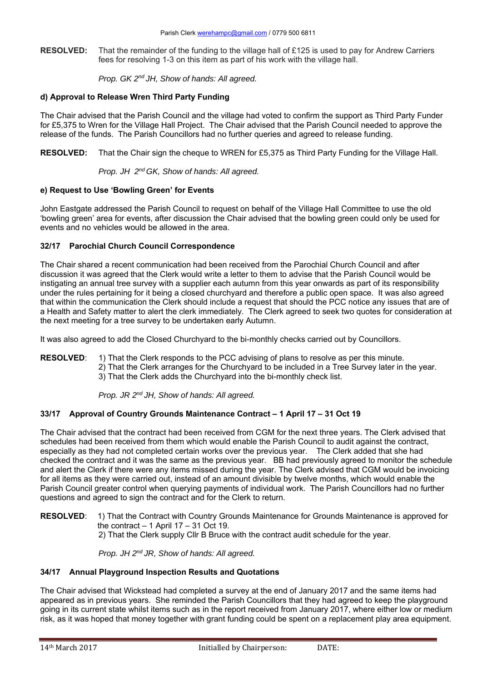**RESOLVED:** That the remainder of the funding to the village hall of £125 is used to pay for Andrew Carriers fees for resolving 1-3 on this item as part of his work with the village hall.

 *Prop. GK 2nd JH, Show of hands: All agreed.* 

# **d) Approval to Release Wren Third Party Funding**

The Chair advised that the Parish Council and the village had voted to confirm the support as Third Party Funder for £5,375 to Wren for the Village Hall Project. The Chair advised that the Parish Council needed to approve the release of the funds. The Parish Councillors had no further queries and agreed to release funding.

**RESOLVED:** That the Chair sign the cheque to WREN for £5,375 as Third Party Funding for the Village Hall.

 *Prop. JH 2nd GK, Show of hands: All agreed.* 

# **e) Request to Use 'Bowling Green' for Events**

John Eastgate addressed the Parish Council to request on behalf of the Village Hall Committee to use the old 'bowling green' area for events, after discussion the Chair advised that the bowling green could only be used for events and no vehicles would be allowed in the area.

# **32/17 Parochial Church Council Correspondence**

The Chair shared a recent communication had been received from the Parochial Church Council and after discussion it was agreed that the Clerk would write a letter to them to advise that the Parish Council would be instigating an annual tree survey with a supplier each autumn from this year onwards as part of its responsibility under the rules pertaining for it being a closed churchyard and therefore a public open space. It was also agreed that within the communication the Clerk should include a request that should the PCC notice any issues that are of a Health and Safety matter to alert the clerk immediately. The Clerk agreed to seek two quotes for consideration at the next meeting for a tree survey to be undertaken early Autumn.

It was also agreed to add the Closed Churchyard to the bi-monthly checks carried out by Councillors.

**RESOLVED:** 1) That the Clerk responds to the PCC advising of plans to resolve as per this minute. 2) That the Clerk arranges for the Churchyard to be included in a Tree Survey later in the year.

3) That the Clerk adds the Churchyard into the bi-monthly check list.

 *Prop. JR 2nd JH, Show of hands: All agreed.* 

# **33/17 Approval of Country Grounds Maintenance Contract – 1 April 17 – 31 Oct 19**

The Chair advised that the contract had been received from CGM for the next three years. The Clerk advised that schedules had been received from them which would enable the Parish Council to audit against the contract, especially as they had not completed certain works over the previous year. The Clerk added that she had checked the contract and it was the same as the previous year. BB had previously agreed to monitor the schedule and alert the Clerk if there were any items missed during the year. The Clerk advised that CGM would be invoicing for all items as they were carried out, instead of an amount divisible by twelve months, which would enable the Parish Council greater control when querying payments of individual work. The Parish Councillors had no further questions and agreed to sign the contract and for the Clerk to return.

**RESOLVED**: 1) That the Contract with Country Grounds Maintenance for Grounds Maintenance is approved for the contract  $-1$  April 17  $-31$  Oct 19. 2) That the Clerk supply Cllr B Bruce with the contract audit schedule for the year.

 *Prop. JH 2nd JR, Show of hands: All agreed.* 

# **34/17 Annual Playground Inspection Results and Quotations**

The Chair advised that Wickstead had completed a survey at the end of January 2017 and the same items had appeared as in previous years. She reminded the Parish Councillors that they had agreed to keep the playground going in its current state whilst items such as in the report received from January 2017, where either low or medium risk, as it was hoped that money together with grant funding could be spent on a replacement play area equipment.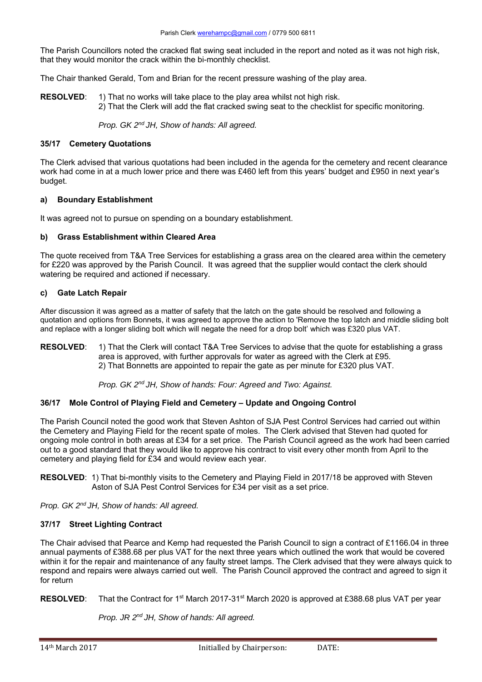The Parish Councillors noted the cracked flat swing seat included in the report and noted as it was not high risk, that they would monitor the crack within the bi-monthly checklist.

The Chair thanked Gerald, Tom and Brian for the recent pressure washing of the play area.

**RESOLVED:** 1) That no works will take place to the play area whilst not high risk. 2) That the Clerk will add the flat cracked swing seat to the checklist for specific monitoring.

 *Prop. GK 2nd JH, Show of hands: All agreed.* 

## **35/17 Cemetery Quotations**

The Clerk advised that various quotations had been included in the agenda for the cemetery and recent clearance work had come in at a much lower price and there was £460 left from this years' budget and £950 in next year's budget.

## **a) Boundary Establishment**

It was agreed not to pursue on spending on a boundary establishment.

## **b) Grass Establishment within Cleared Area**

The quote received from T&A Tree Services for establishing a grass area on the cleared area within the cemetery for £220 was approved by the Parish Council. It was agreed that the supplier would contact the clerk should watering be required and actioned if necessary.

### **c) Gate Latch Repair**

After discussion it was agreed as a matter of safety that the latch on the gate should be resolved and following a quotation and options from Bonnets, it was agreed to approve the action to 'Remove the top latch and middle sliding bolt and replace with a longer sliding bolt which will negate the need for a drop bolt' which was £320 plus VAT.

**RESOLVED:** 1) That the Clerk will contact T&A Tree Services to advise that the quote for establishing a grass area is approved, with further approvals for water as agreed with the Clerk at £95. 2) That Bonnetts are appointed to repair the gate as per minute for £320 plus VAT.

 *Prop. GK 2nd JH, Show of hands: Four: Agreed and Two: Against.* 

# **36/17 Mole Control of Playing Field and Cemetery – Update and Ongoing Control**

The Parish Council noted the good work that Steven Ashton of SJA Pest Control Services had carried out within the Cemetery and Playing Field for the recent spate of moles. The Clerk advised that Steven had quoted for ongoing mole control in both areas at £34 for a set price. The Parish Council agreed as the work had been carried out to a good standard that they would like to approve his contract to visit every other month from April to the cemetery and playing field for £34 and would review each year.

**RESOLVED**: 1) That bi-monthly visits to the Cemetery and Playing Field in 2017/18 be approved with Steven Aston of SJA Pest Control Services for £34 per visit as a set price.

*Prop. GK 2nd JH, Show of hands: All agreed.* 

# **37/17 Street Lighting Contract**

The Chair advised that Pearce and Kemp had requested the Parish Council to sign a contract of £1166.04 in three annual payments of £388.68 per plus VAT for the next three years which outlined the work that would be covered within it for the repair and maintenance of any faulty street lamps. The Clerk advised that they were always quick to respond and repairs were always carried out well. The Parish Council approved the contract and agreed to sign it for return

**RESOLVED:** That the Contract for 1<sup>st</sup> March 2017-31<sup>st</sup> March 2020 is approved at £388.68 plus VAT per year

 *Prop. JR 2nd JH, Show of hands: All agreed.*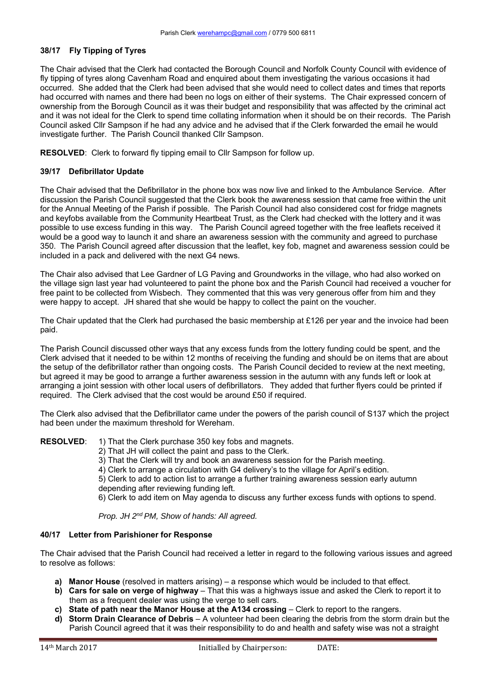## **38/17 Fly Tipping of Tyres**

The Chair advised that the Clerk had contacted the Borough Council and Norfolk County Council with evidence of fly tipping of tyres along Cavenham Road and enquired about them investigating the various occasions it had occurred. She added that the Clerk had been advised that she would need to collect dates and times that reports had occurred with names and there had been no logs on either of their systems. The Chair expressed concern of ownership from the Borough Council as it was their budget and responsibility that was affected by the criminal act and it was not ideal for the Clerk to spend time collating information when it should be on their records. The Parish Council asked Cllr Sampson if he had any advice and he advised that if the Clerk forwarded the email he would investigate further. The Parish Council thanked Cllr Sampson.

**RESOLVED**: Clerk to forward fly tipping email to Cllr Sampson for follow up.

## **39/17 Defibrillator Update**

The Chair advised that the Defibrillator in the phone box was now live and linked to the Ambulance Service. After discussion the Parish Council suggested that the Clerk book the awareness session that came free within the unit for the Annual Meeting of the Parish if possible. The Parish Council had also considered cost for fridge magnets and keyfobs available from the Community Heartbeat Trust, as the Clerk had checked with the lottery and it was possible to use excess funding in this way. The Parish Council agreed together with the free leaflets received it would be a good way to launch it and share an awareness session with the community and agreed to purchase 350. The Parish Council agreed after discussion that the leaflet, key fob, magnet and awareness session could be included in a pack and delivered with the next G4 news.

The Chair also advised that Lee Gardner of LG Paving and Groundworks in the village, who had also worked on the village sign last year had volunteered to paint the phone box and the Parish Council had received a voucher for free paint to be collected from Wisbech. They commented that this was very generous offer from him and they were happy to accept. JH shared that she would be happy to collect the paint on the voucher.

The Chair updated that the Clerk had purchased the basic membership at £126 per year and the invoice had been paid.

The Parish Council discussed other ways that any excess funds from the lottery funding could be spent, and the Clerk advised that it needed to be within 12 months of receiving the funding and should be on items that are about the setup of the defibrillator rather than ongoing costs. The Parish Council decided to review at the next meeting, but agreed it may be good to arrange a further awareness session in the autumn with any funds left or look at arranging a joint session with other local users of defibrillators. They added that further flyers could be printed if required. The Clerk advised that the cost would be around £50 if required.

The Clerk also advised that the Defibrillator came under the powers of the parish council of S137 which the project had been under the maximum threshold for Wereham.

**RESOLVED:** 1) That the Clerk purchase 350 key fobs and magnets.

- 2) That JH will collect the paint and pass to the Clerk.
- 3) That the Clerk will try and book an awareness session for the Parish meeting.
- 4) Clerk to arrange a circulation with G4 delivery's to the village for April's edition.

5) Clerk to add to action list to arrange a further training awareness session early autumn depending after reviewing funding left.

6) Clerk to add item on May agenda to discuss any further excess funds with options to spend.

*Prop. JH 2nd PM, Show of hands: All agreed.* 

# **40/17 Letter from Parishioner for Response**

The Chair advised that the Parish Council had received a letter in regard to the following various issues and agreed to resolve as follows:

- **a) Manor House** (resolved in matters arising) a response which would be included to that effect.
- **b) Cars for sale on verge of highway** That this was a highways issue and asked the Clerk to report it to them as a frequent dealer was using the verge to sell cars.
- **c)** State of path near the Manor House at the A134 crossing Clerk to report to the rangers.
- **d) Storm Drain Clearance of Debris** A volunteer had been clearing the debris from the storm drain but the Parish Council agreed that it was their responsibility to do and health and safety wise was not a straight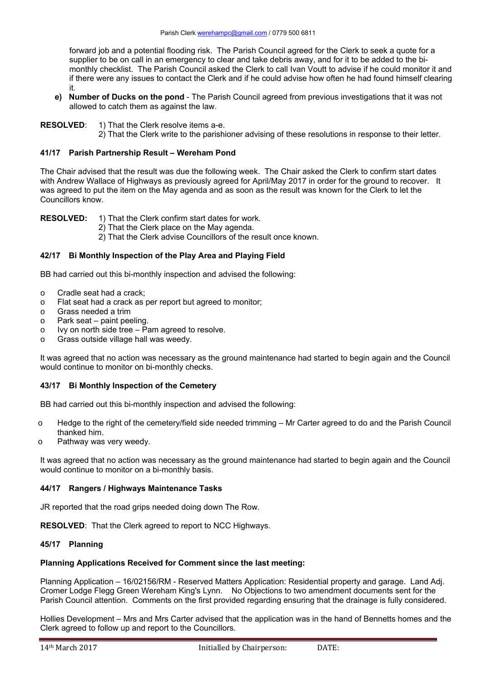forward job and a potential flooding risk. The Parish Council agreed for the Clerk to seek a quote for a supplier to be on call in an emergency to clear and take debris away, and for it to be added to the bimonthly checklist. The Parish Council asked the Clerk to call Ivan Voutt to advise if he could monitor it and if there were any issues to contact the Clerk and if he could advise how often he had found himself clearing it.

- **e) Number of Ducks on the pond**  The Parish Council agreed from previous investigations that it was not allowed to catch them as against the law.
- **RESOLVED:** 1) That the Clerk resolve items a-e.
	- 2) That the Clerk write to the parishioner advising of these resolutions in response to their letter.

# **41/17 Parish Partnership Result – Wereham Pond**

The Chair advised that the result was due the following week. The Chair asked the Clerk to confirm start dates with Andrew Wallace of Highways as previously agreed for April/May 2017 in order for the ground to recover. It was agreed to put the item on the May agenda and as soon as the result was known for the Clerk to let the Councillors know.

**RESOLVED:** 1) That the Clerk confirm start dates for work.

- 2) That the Clerk place on the May agenda.
- 2) That the Clerk advise Councillors of the result once known.

# **42/17 Bi Monthly Inspection of the Play Area and Playing Field**

BB had carried out this bi-monthly inspection and advised the following:

- o Cradle seat had a crack;
- o Flat seat had a crack as per report but agreed to monitor;
- o Grass needed a trim
- o Park seat paint peeling.
- o Ivy on north side tree Pam agreed to resolve.
- o Grass outside village hall was weedy.

It was agreed that no action was necessary as the ground maintenance had started to begin again and the Council would continue to monitor on bi-monthly checks.

# **43/17 Bi Monthly Inspection of the Cemetery**

BB had carried out this bi-monthly inspection and advised the following:

- o Hedge to the right of the cemetery/field side needed trimming Mr Carter agreed to do and the Parish Council thanked him.
- o Pathway was very weedy.

It was agreed that no action was necessary as the ground maintenance had started to begin again and the Council would continue to monitor on a bi-monthly basis.

# **44/17 Rangers / Highways Maintenance Tasks**

JR reported that the road grips needed doing down The Row.

**RESOLVED**: That the Clerk agreed to report to NCC Highways.

## **45/17 Planning**

# **Planning Applications Received for Comment since the last meeting:**

Planning Application – 16/02156/RM - Reserved Matters Application: Residential property and garage. Land Adj. Cromer Lodge Flegg Green Wereham King's Lynn. No Objections to two amendment documents sent for the Parish Council attention. Comments on the first provided regarding ensuring that the drainage is fully considered.

Hollies Development – Mrs and Mrs Carter advised that the application was in the hand of Bennetts homes and the Clerk agreed to follow up and report to the Councillors.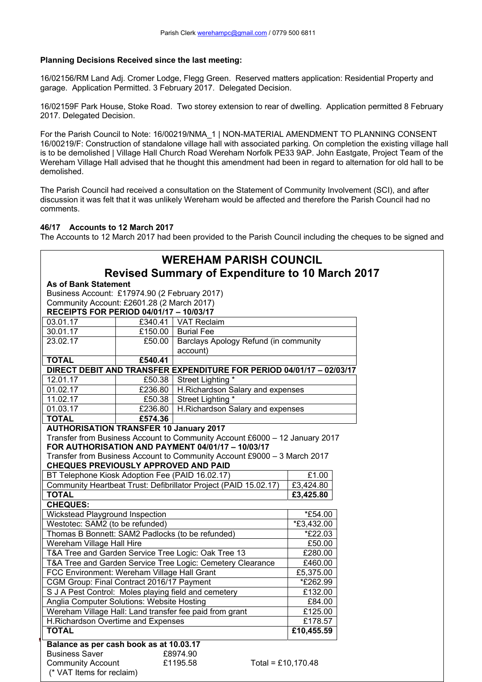# **Planning Decisions Received since the last meeting:**

16/02156/RM Land Adj. Cromer Lodge, Flegg Green. Reserved matters application: Residential Property and garage. Application Permitted. 3 February 2017. Delegated Decision.

16/02159F Park House, Stoke Road. Two storey extension to rear of dwelling. Application permitted 8 February 2017. Delegated Decision.

For the Parish Council to Note: 16/00219/NMA\_1 | NON-MATERIAL AMENDMENT TO PLANNING CONSENT 16/00219/F: Construction of standalone village hall with associated parking. On completion the existing village hall is to be demolished | Village Hall Church Road Wereham Norfolk PE33 9AP. John Eastgate, Project Team of the Wereham Village Hall advised that he thought this amendment had been in regard to alternation for old hall to be demolished.

The Parish Council had received a consultation on the Statement of Community Involvement (SCI), and after discussion it was felt that it was unlikely Wereham would be affected and therefore the Parish Council had no comments.

# **46/17 Accounts to 12 March 2017**

The Accounts to 12 March 2017 had been provided to the Parish Council including the cheques to be signed and

|                                                                                  |         | <b>WEREHAM PARISH COUNCIL</b>                                                                                                    |                        |  |  |
|----------------------------------------------------------------------------------|---------|----------------------------------------------------------------------------------------------------------------------------------|------------------------|--|--|
|                                                                                  |         | <b>Revised Summary of Expenditure to 10 March 2017</b>                                                                           |                        |  |  |
| <b>As of Bank Statement</b>                                                      |         |                                                                                                                                  |                        |  |  |
| Business Account: £17974.90 (2 February 2017)                                    |         |                                                                                                                                  |                        |  |  |
| Community Account: £2601.28 (2 March 2017)                                       |         |                                                                                                                                  |                        |  |  |
| RECEIPTS FOR PERIOD 04/01/17 - 10/03/17                                          |         |                                                                                                                                  |                        |  |  |
| 03.01.17                                                                         |         | £340.41   VAT Reclaim                                                                                                            |                        |  |  |
| 30.01.17                                                                         | £150.00 | <b>Burial Fee</b>                                                                                                                |                        |  |  |
| 23.02.17                                                                         | £50.00  | Barclays Apology Refund (in community                                                                                            |                        |  |  |
|                                                                                  |         | account)                                                                                                                         |                        |  |  |
| <b>TOTAL</b>                                                                     | £540.41 |                                                                                                                                  |                        |  |  |
|                                                                                  |         | DIRECT DEBIT AND TRANSFER EXPENDITURE FOR PERIOD 04/01/17 - 02/03/17                                                             |                        |  |  |
| 12.01.17                                                                         |         | £50.38   Street Lighting *                                                                                                       |                        |  |  |
| 01.02.17                                                                         |         | £236.80   H.Richardson Salary and expenses                                                                                       |                        |  |  |
| 11.02.17                                                                         | £50.38  | Street Lighting *                                                                                                                |                        |  |  |
| 01.03.17                                                                         | £236.80 | H.Richardson Salary and expenses                                                                                                 |                        |  |  |
| <b>TOTAL</b>                                                                     | £574.36 |                                                                                                                                  |                        |  |  |
| <b>AUTHORISATION TRANSFER 10 January 2017</b>                                    |         |                                                                                                                                  |                        |  |  |
|                                                                                  |         | Transfer from Business Account to Community Account £6000 - 12 January 2017<br>FOR AUTHORISATION AND PAYMENT 04/01/17 - 10/03/17 |                        |  |  |
|                                                                                  |         | Transfer from Business Account to Community Account £9000 - 3 March 2017                                                         |                        |  |  |
| <b>CHEQUES PREVIOUSLY APPROVED AND PAID</b>                                      |         |                                                                                                                                  |                        |  |  |
| BT Telephone Kiosk Adoption Fee (PAID 16.02.17)                                  |         |                                                                                                                                  | £1.00                  |  |  |
|                                                                                  |         |                                                                                                                                  | $\overline{£}3,424.80$ |  |  |
| Community Heartbeat Trust: Defibrillator Project (PAID 15.02.17)<br><b>TOTAL</b> |         |                                                                                                                                  | £3,425.80              |  |  |
| <b>CHEQUES:</b>                                                                  |         |                                                                                                                                  |                        |  |  |
| Wickstead Playground Inspection                                                  |         |                                                                                                                                  | *£54.00                |  |  |
| Westotec: SAM2 (to be refunded)                                                  |         |                                                                                                                                  | $*$ £3,432.00          |  |  |
| Thomas B Bonnett: SAM2 Padlocks (to be refunded)                                 |         |                                                                                                                                  | *£22.03                |  |  |
| Wereham Village Hall Hire                                                        |         |                                                                                                                                  | £50.00                 |  |  |
| T&A Tree and Garden Service Tree Logic: Oak Tree 13                              |         |                                                                                                                                  | £280.00                |  |  |
| T&A Tree and Garden Service Tree Logic: Cemetery Clearance                       |         |                                                                                                                                  | £460.00                |  |  |
| FCC Environment: Wereham Village Hall Grant                                      |         |                                                                                                                                  | £5,375.00              |  |  |
| CGM Group: Final Contract 2016/17 Payment                                        |         |                                                                                                                                  | *£262.99               |  |  |
| S J A Pest Control: Moles playing field and cemetery                             |         |                                                                                                                                  | £132.00                |  |  |
| Anglia Computer Solutions: Website Hosting                                       |         | £84.00                                                                                                                           |                        |  |  |
| Wereham Village Hall: Land transfer fee paid from grant                          |         | £125.00                                                                                                                          |                        |  |  |
| H.Richardson Overtime and Expenses                                               |         | £178.57                                                                                                                          |                        |  |  |
| <b>TOTAL</b>                                                                     |         |                                                                                                                                  | £10,455.59             |  |  |
| Balance as per cash book as at 10.03.17                                          |         |                                                                                                                                  |                        |  |  |
| <b>Business Saver</b>                                                            |         | £8974.90                                                                                                                         |                        |  |  |
| <b>Community Account</b>                                                         |         | £1195.58<br>Total = £10,170.48                                                                                                   |                        |  |  |
| (* VAT Items for reclaim)                                                        |         |                                                                                                                                  |                        |  |  |
|                                                                                  |         |                                                                                                                                  |                        |  |  |